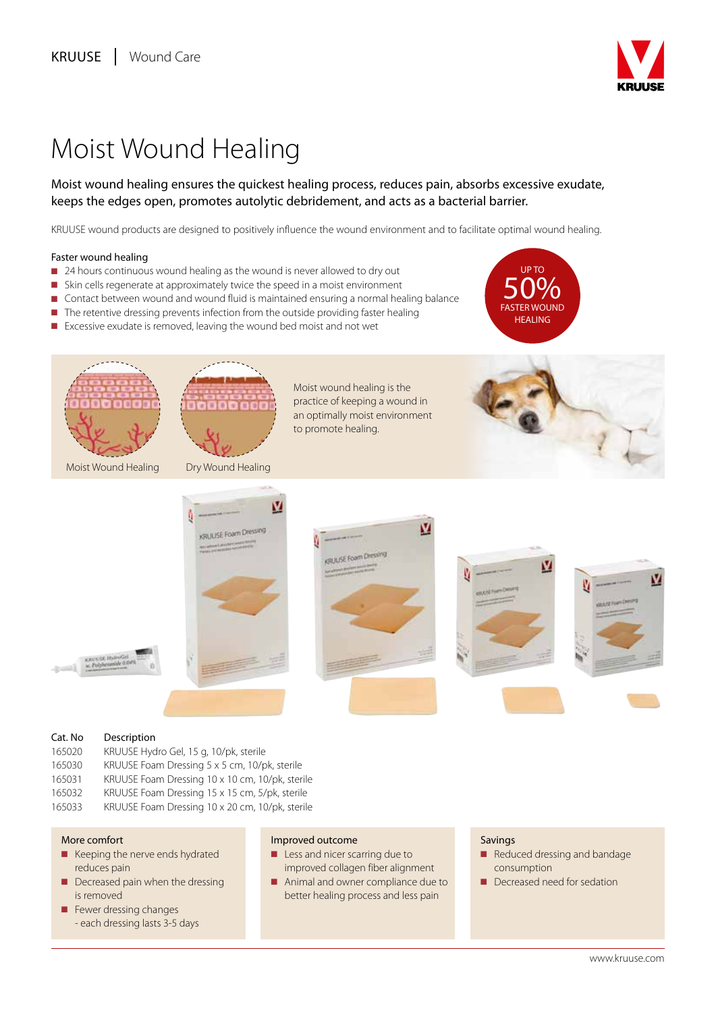

# Moist Wound Healing

## Moist wound healing ensures the quickest healing process, reduces pain, absorbs excessive exudate, keeps the edges open, promotes autolytic debridement, and acts as a bacterial barrier.

KRUUSE wound products are designed to positively influence the wound environment and to facilitate optimal wound healing.

## Faster wound healing

- 24 hours continuous wound healing as the wound is never allowed to dry out
- n Skin cells regenerate at approximately twice the speed in a moist environment
- Contact between wound and wound fluid is maintained ensuring a normal healing balance
- $\blacksquare$  The retentive dressing prevents infection from the outside providing faster healing
- Excessive exudate is removed, leaving the wound bed moist and not wet













## Cat. No Description

165020 KRUUSE Hydro Gel, 15 g, 10/pk, sterile 165030 KRUUSE Foam Dressing 5 x 5 cm, 10/pk, sterile 165031 KRUUSE Foam Dressing 10 x 10 cm, 10/pk, sterile

165032 KRUUSE Foam Dressing 15 x 15 cm, 5/pk, sterile

165033 KRUUSE Foam Dressing 10 x 20 cm, 10/pk, sterile

## More comfort

- $\blacksquare$  Keeping the nerve ends hydrated reduces pain
- $\blacksquare$  Decreased pain when the dressing is removed
- $\blacksquare$  Fewer dressing changes - each dressing lasts 3-5 days

### Improved outcome

- **n** Less and nicer scarring due to improved collagen fiber alignment
- Animal and owner compliance due to better healing process and less pain

## Savings

- Reduced dressing and bandage consumption
- Decreased need for sedation